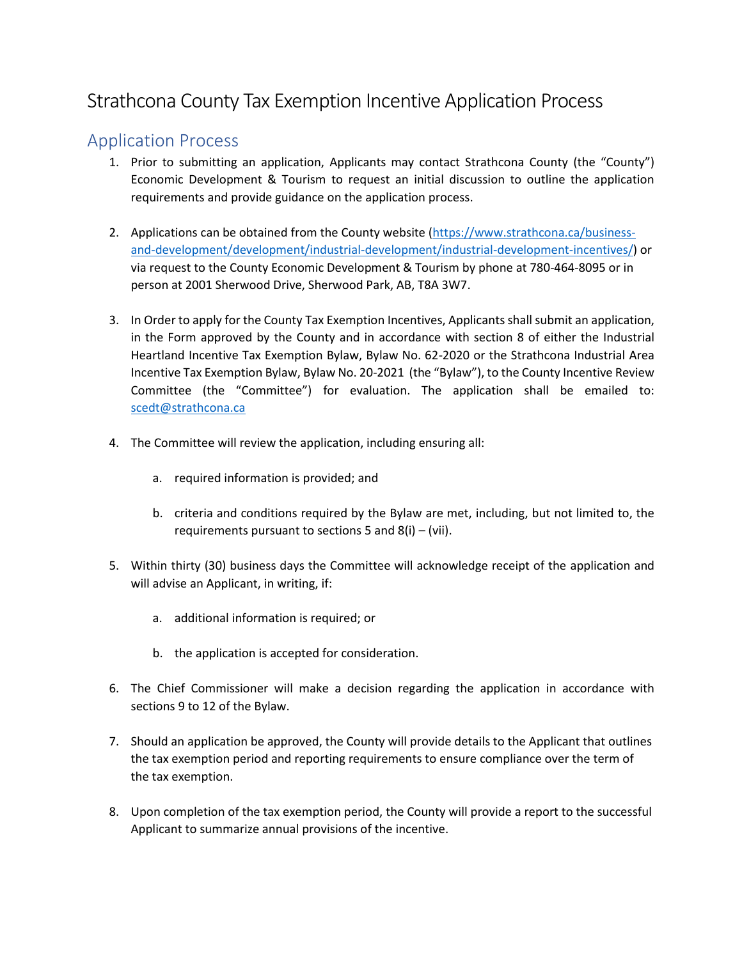## Strathcona County Tax Exemption Incentive Application Process

## Application Process

- 1. Prior to submitting an application, Applicants may contact Strathcona County (the "County") Economic Development & Tourism to request an initial discussion to outline the application requirements and provide guidance on the application process.
- 2. Applications can be obtained from the County website [\(https://www.strathcona.ca/business](https://www.strathcona.ca/business-and-development/development/industrial-development/industrial-development-incentives/)[and-development/development/industrial-development/industrial-development-incentives/\)](https://www.strathcona.ca/business-and-development/development/industrial-development/industrial-development-incentives/) or via request to the County Economic Development & Tourism by phone at 780-464-8095 or in person at 2001 Sherwood Drive, Sherwood Park, AB, T8A 3W7.
- 3. In Order to apply for the County Tax Exemption Incentives, Applicants shall submit an application, in the Form approved by the County and in accordance with section 8 of either the Industrial Heartland Incentive Tax Exemption Bylaw, Bylaw No. 62-2020 or the Strathcona Industrial Area Incentive Tax Exemption Bylaw, Bylaw No. 20-2021 (the "Bylaw"), to the County Incentive Review Committee (the "Committee") for evaluation. The application shall be emailed to: [scedt@strathcona.ca](mailto:scedt@strathcona.ca)
- 4. The Committee will review the application, including ensuring all:
	- a. required information is provided; and
	- b. criteria and conditions required by the Bylaw are met, including, but not limited to, the requirements pursuant to sections 5 and  $8(i) - (vii)$ .
- 5. Within thirty (30) business days the Committee will acknowledge receipt of the application and will advise an Applicant, in writing, if:
	- a. additional information is required; or
	- b. the application is accepted for consideration.
- 6. The Chief Commissioner will make a decision regarding the application in accordance with sections 9 to 12 of the Bylaw.
- 7. Should an application be approved, the County will provide details to the Applicant that outlines the tax exemption period and reporting requirements to ensure compliance over the term of the tax exemption.
- 8. Upon completion of the tax exemption period, the County will provide a report to the successful Applicant to summarize annual provisions of the incentive.